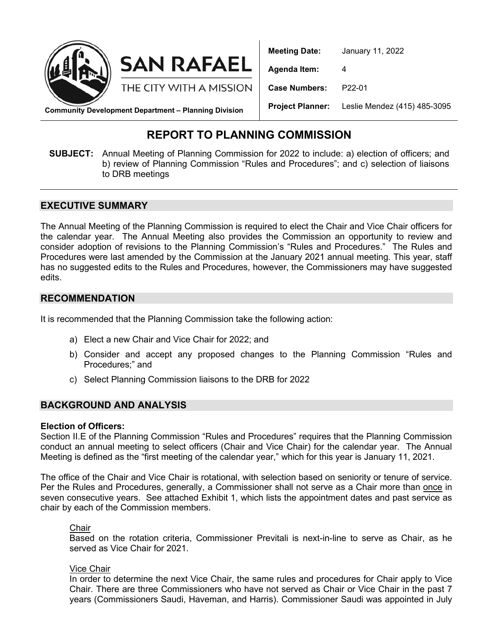

**Meeting Date:** January 11, 2022 **Agenda Item:** 4 **Case Numbers:** P22-01 **Project Planner:** Leslie Mendez (415) 485-3095

**Community Development Department – Planning Division**

**SAN RAFAEL** 

THE CITY WITH A MISSION

## **REPORT TO PLANNING COMMISSION**

**SUBJECT:** Annual Meeting of Planning Commission for 2022 to include: a) election of officers; and b) review of Planning Commission "Rules and Procedures"; and c) selection of liaisons to DRB meetings

#### **EXECUTIVE SUMMARY**

The Annual Meeting of the Planning Commission is required to elect the Chair and Vice Chair officers for the calendar year. The Annual Meeting also provides the Commission an opportunity to review and consider adoption of revisions to the Planning Commission's "Rules and Procedures." The Rules and Procedures were last amended by the Commission at the January 2021 annual meeting. This year, staff has no suggested edits to the Rules and Procedures, however, the Commissioners may have suggested edits.

#### **RECOMMENDATION**

It is recommended that the Planning Commission take the following action:

- a) Elect a new Chair and Vice Chair for 2022; and
- b) Consider and accept any proposed changes to the Planning Commission "Rules and Procedures;" and
- c) Select Planning Commission liaisons to the DRB for 2022

#### **BACKGROUND AND ANALYSIS**

#### **Election of Officers:**

Section II.E of the Planning Commission "Rules and Procedures" requires that the Planning Commission conduct an annual meeting to select officers (Chair and Vice Chair) for the calendar year. The Annual Meeting is defined as the "first meeting of the calendar year," which for this year is January 11, 2021.

The office of the Chair and Vice Chair is rotational, with selection based on seniority or tenure of service. Per the Rules and Procedures, generally, a Commissioner shall not serve as a Chair more than once in seven consecutive years. See attached Exhibit 1, which lists the appointment dates and past service as chair by each of the Commission members.

#### Chair

Based on the rotation criteria, Commissioner Previtali is next-in-line to serve as Chair, as he served as Vice Chair for 2021.

#### Vice Chair

In order to determine the next Vice Chair, the same rules and procedures for Chair apply to Vice Chair. There are three Commissioners who have not served as Chair or Vice Chair in the past 7 years (Commissioners Saudi, Haveman, and Harris). Commissioner Saudi was appointed in July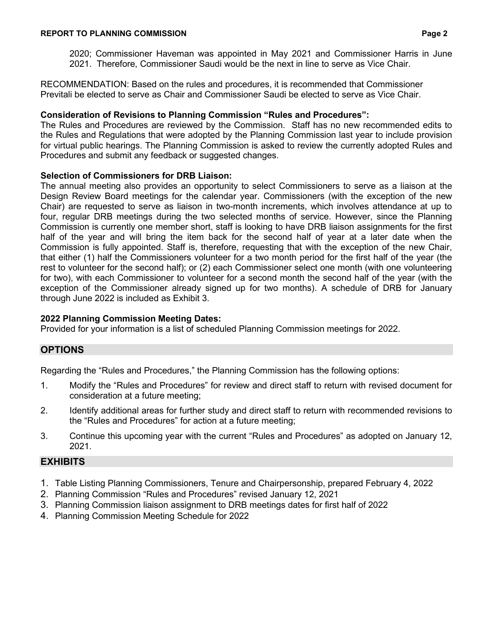#### **REPORT TO PLANNING COMMISSION Page 2**

2020; Commissioner Haveman was appointed in May 2021 and Commissioner Harris in June 2021. Therefore, Commissioner Saudi would be the next in line to serve as Vice Chair.

RECOMMENDATION: Based on the rules and procedures, it is recommended that Commissioner Previtali be elected to serve as Chair and Commissioner Saudi be elected to serve as Vice Chair.

#### **Consideration of Revisions to Planning Commission "Rules and Procedures":**

The Rules and Procedures are reviewed by the Commission. Staff has no new recommended edits to the Rules and Regulations that were adopted by the Planning Commission last year to include provision for virtual public hearings. The Planning Commission is asked to review the currently adopted Rules and Procedures and submit any feedback or suggested changes.

#### **Selection of Commissioners for DRB Liaison:**

The annual meeting also provides an opportunity to select Commissioners to serve as a liaison at the Design Review Board meetings for the calendar year. Commissioners (with the exception of the new Chair) are requested to serve as liaison in two-month increments, which involves attendance at up to four, regular DRB meetings during the two selected months of service. However, since the Planning Commission is currently one member short, staff is looking to have DRB liaison assignments for the first half of the year and will bring the item back for the second half of year at a later date when the Commission is fully appointed. Staff is, therefore, requesting that with the exception of the new Chair, that either (1) half the Commissioners volunteer for a two month period for the first half of the year (the rest to volunteer for the second half); or (2) each Commissioner select one month (with one volunteering for two), with each Commissioner to volunteer for a second month the second half of the year (with the exception of the Commissioner already signed up for two months). A schedule of DRB for January through June 2022 is included as Exhibit 3.

#### **2022 Planning Commission Meeting Dates:**

Provided for your information is a list of scheduled Planning Commission meetings for 2022.

### **OPTIONS**

Regarding the "Rules and Procedures," the Planning Commission has the following options:

- 1. Modify the "Rules and Procedures" for review and direct staff to return with revised document for consideration at a future meeting;
- 2. Identify additional areas for further study and direct staff to return with recommended revisions to the "Rules and Procedures" for action at a future meeting;
- 3. Continue this upcoming year with the current "Rules and Procedures" as adopted on January 12, 2021.

#### **EXHIBITS**

- 1. Table Listing Planning Commissioners, Tenure and Chairpersonship, prepared February 4, 2022
- 2. Planning Commission "Rules and Procedures" revised January 12, 2021
- 3. Planning Commission liaison assignment to DRB meetings dates for first half of 2022
- 4. Planning Commission Meeting Schedule for 2022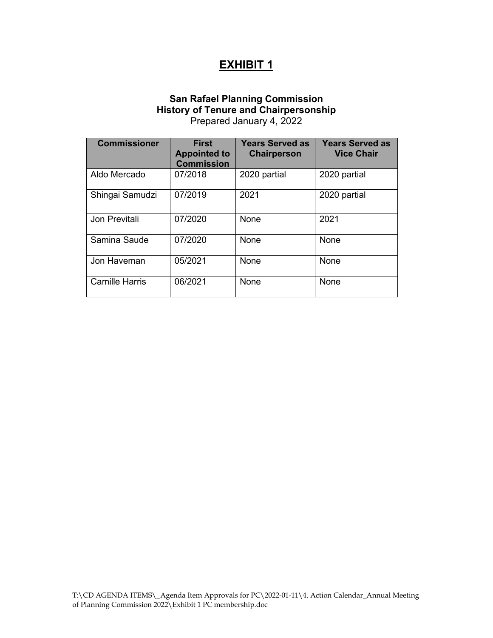# **EXHIBIT 1**

#### **San Rafael Planning Commission History of Tenure and Chairpersonship** Prepared January 4, 2022

| <b>Commissioner</b>   | <b>First</b><br><b>Appointed to</b><br><b>Commission</b> | <b>Years Served as</b><br><b>Chairperson</b> | <b>Years Served as</b><br><b>Vice Chair</b> |
|-----------------------|----------------------------------------------------------|----------------------------------------------|---------------------------------------------|
| Aldo Mercado          | 07/2018                                                  | 2020 partial                                 | 2020 partial                                |
| Shingai Samudzi       | 07/2019                                                  | 2021                                         | 2020 partial                                |
| Jon Previtali         | 07/2020                                                  | None                                         | 2021                                        |
| Samina Saude          | 07/2020                                                  | None                                         | None                                        |
| Jon Haveman           | 05/2021                                                  | None                                         | None                                        |
| <b>Camille Harris</b> | 06/2021                                                  | None                                         | None                                        |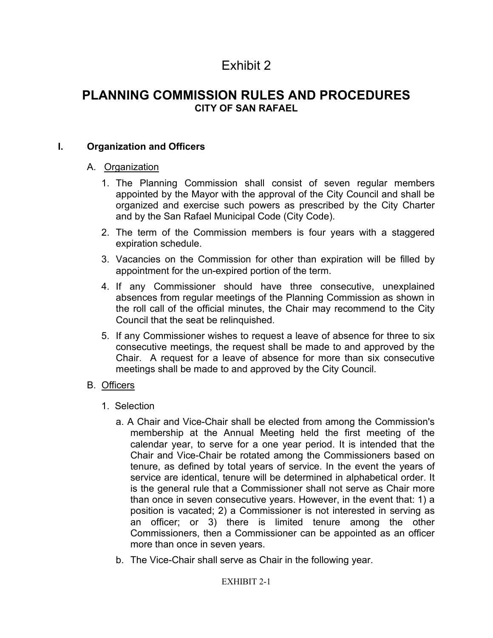# Exhibit 2

## **PLANNING COMMISSION RULES AND PROCEDURES CITY OF SAN RAFAEL**

### **I. Organization and Officers**

#### A. Organization

- 1. The Planning Commission shall consist of seven regular members appointed by the Mayor with the approval of the City Council and shall be organized and exercise such powers as prescribed by the City Charter and by the San Rafael Municipal Code (City Code).
- 2. The term of the Commission members is four years with a staggered expiration schedule.
- 3. Vacancies on the Commission for other than expiration will be filled by appointment for the un-expired portion of the term.
- 4. If any Commissioner should have three consecutive, unexplained absences from regular meetings of the Planning Commission as shown in the roll call of the official minutes, the Chair may recommend to the City Council that the seat be relinquished.
- 5. If any Commissioner wishes to request a leave of absence for three to six consecutive meetings, the request shall be made to and approved by the Chair. A request for a leave of absence for more than six consecutive meetings shall be made to and approved by the City Council.

### B. Officers

- 1. Selection
	- a. A Chair and Vice-Chair shall be elected from among the Commission's membership at the Annual Meeting held the first meeting of the calendar year, to serve for a one year period. It is intended that the Chair and Vice-Chair be rotated among the Commissioners based on tenure, as defined by total years of service. In the event the years of service are identical, tenure will be determined in alphabetical order. It is the general rule that a Commissioner shall not serve as Chair more than once in seven consecutive years. However, in the event that: 1) a position is vacated; 2) a Commissioner is not interested in serving as an officer; or 3) there is limited tenure among the other Commissioners, then a Commissioner can be appointed as an officer more than once in seven years.
	- b. The Vice-Chair shall serve as Chair in the following year.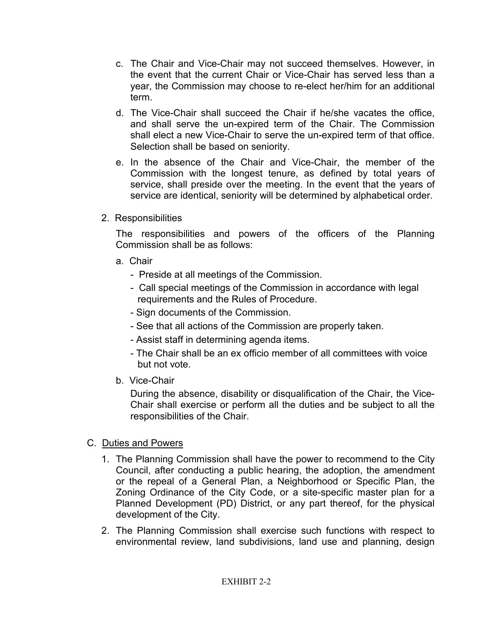- c. The Chair and Vice-Chair may not succeed themselves. However, in the event that the current Chair or Vice-Chair has served less than a year, the Commission may choose to re-elect her/him for an additional term.
- d. The Vice-Chair shall succeed the Chair if he/she vacates the office, and shall serve the un-expired term of the Chair. The Commission shall elect a new Vice-Chair to serve the un-expired term of that office. Selection shall be based on seniority.
- e. In the absence of the Chair and Vice-Chair, the member of the Commission with the longest tenure, as defined by total years of service, shall preside over the meeting. In the event that the years of service are identical, seniority will be determined by alphabetical order.
- 2. Responsibilities

The responsibilities and powers of the officers of the Planning Commission shall be as follows:

- a. Chair
	- Preside at all meetings of the Commission.
	- Call special meetings of the Commission in accordance with legal requirements and the Rules of Procedure.
	- Sign documents of the Commission.
	- See that all actions of the Commission are properly taken.
	- Assist staff in determining agenda items.
	- The Chair shall be an ex officio member of all committees with voice but not vote.
- b. Vice-Chair

During the absence, disability or disqualification of the Chair, the Vice-Chair shall exercise or perform all the duties and be subject to all the responsibilities of the Chair.

- C. Duties and Powers
	- 1. The Planning Commission shall have the power to recommend to the City Council, after conducting a public hearing, the adoption, the amendment or the repeal of a General Plan, a Neighborhood or Specific Plan, the Zoning Ordinance of the City Code, or a site-specific master plan for a Planned Development (PD) District, or any part thereof, for the physical development of the City.
	- 2. The Planning Commission shall exercise such functions with respect to environmental review, land subdivisions, land use and planning, design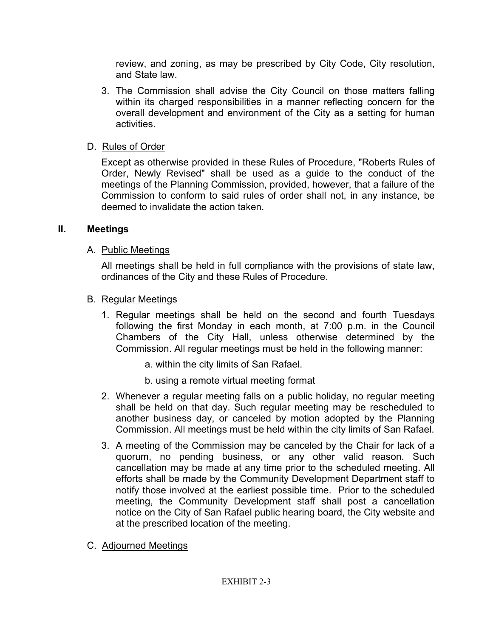review, and zoning, as may be prescribed by City Code, City resolution, and State law.

- 3. The Commission shall advise the City Council on those matters falling within its charged responsibilities in a manner reflecting concern for the overall development and environment of the City as a setting for human activities.
- D. Rules of Order

Except as otherwise provided in these Rules of Procedure, "Roberts Rules of Order, Newly Revised" shall be used as a guide to the conduct of the meetings of the Planning Commission, provided, however, that a failure of the Commission to conform to said rules of order shall not, in any instance, be deemed to invalidate the action taken.

## **II. Meetings**

## A. Public Meetings

All meetings shall be held in full compliance with the provisions of state law, ordinances of the City and these Rules of Procedure.

## B. Regular Meetings

- 1. Regular meetings shall be held on the second and fourth Tuesdays following the first Monday in each month, at 7:00 p.m. in the Council Chambers of the City Hall, unless otherwise determined by the Commission. All regular meetings must be held in the following manner:
	- a. within the city limits of San Rafael.
	- b. using a remote virtual meeting format
- 2. Whenever a regular meeting falls on a public holiday, no regular meeting shall be held on that day. Such regular meeting may be rescheduled to another business day, or canceled by motion adopted by the Planning Commission. All meetings must be held within the city limits of San Rafael.
- 3. A meeting of the Commission may be canceled by the Chair for lack of a quorum, no pending business, or any other valid reason. Such cancellation may be made at any time prior to the scheduled meeting. All efforts shall be made by the Community Development Department staff to notify those involved at the earliest possible time. Prior to the scheduled meeting, the Community Development staff shall post a cancellation notice on the City of San Rafael public hearing board, the City website and at the prescribed location of the meeting.
- C. Adjourned Meetings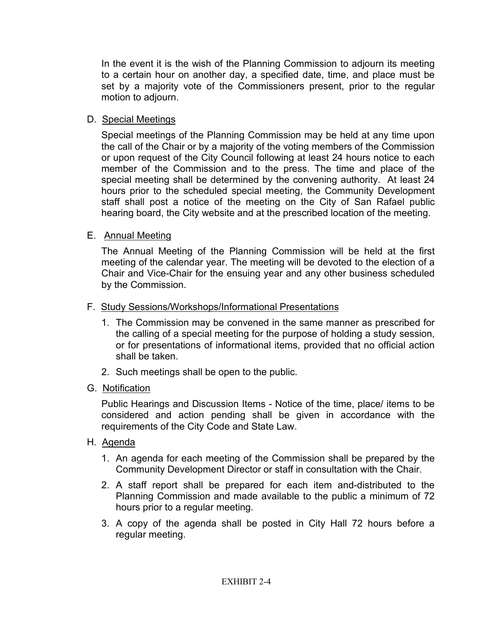In the event it is the wish of the Planning Commission to adjourn its meeting to a certain hour on another day, a specified date, time, and place must be set by a majority vote of the Commissioners present, prior to the regular motion to adjourn.

### D. Special Meetings

Special meetings of the Planning Commission may be held at any time upon the call of the Chair or by a majority of the voting members of the Commission or upon request of the City Council following at least 24 hours notice to each member of the Commission and to the press. The time and place of the special meeting shall be determined by the convening authority. At least 24 hours prior to the scheduled special meeting, the Community Development staff shall post a notice of the meeting on the City of San Rafael public hearing board, the City website and at the prescribed location of the meeting.

## E. Annual Meeting

The Annual Meeting of the Planning Commission will be held at the first meeting of the calendar year. The meeting will be devoted to the election of a Chair and Vice-Chair for the ensuing year and any other business scheduled by the Commission.

- F. Study Sessions/Workshops/Informational Presentations
	- 1. The Commission may be convened in the same manner as prescribed for the calling of a special meeting for the purpose of holding a study session, or for presentations of informational items, provided that no official action shall be taken.
	- 2. Such meetings shall be open to the public.
- G. Notification

Public Hearings and Discussion Items - Notice of the time, place/ items to be considered and action pending shall be given in accordance with the requirements of the City Code and State Law.

- H. Agenda
	- 1. An agenda for each meeting of the Commission shall be prepared by the Community Development Director or staff in consultation with the Chair.
	- 2. A staff report shall be prepared for each item and-distributed to the Planning Commission and made available to the public a minimum of 72 hours prior to a regular meeting.
	- 3. A copy of the agenda shall be posted in City Hall 72 hours before a regular meeting.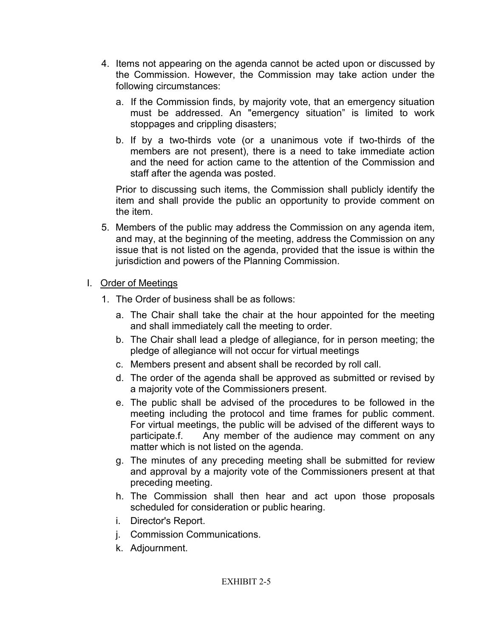- 4. Items not appearing on the agenda cannot be acted upon or discussed by the Commission. However, the Commission may take action under the following circumstances:
	- a. If the Commission finds, by majority vote, that an emergency situation must be addressed. An "emergency situation" is limited to work stoppages and crippling disasters;
	- b. If by a two-thirds vote (or a unanimous vote if two-thirds of the members are not present), there is a need to take immediate action and the need for action came to the attention of the Commission and staff after the agenda was posted.

Prior to discussing such items, the Commission shall publicly identify the item and shall provide the public an opportunity to provide comment on the item.

5. Members of the public may address the Commission on any agenda item, and may, at the beginning of the meeting, address the Commission on any issue that is not listed on the agenda, provided that the issue is within the jurisdiction and powers of the Planning Commission.

## I. Order of Meetings

- 1. The Order of business shall be as follows:
	- a. The Chair shall take the chair at the hour appointed for the meeting and shall immediately call the meeting to order.
	- b. The Chair shall lead a pledge of allegiance, for in person meeting; the pledge of allegiance will not occur for virtual meetings
	- c. Members present and absent shall be recorded by roll call.
	- d. The order of the agenda shall be approved as submitted or revised by a majority vote of the Commissioners present.
	- e. The public shall be advised of the procedures to be followed in the meeting including the protocol and time frames for public comment. For virtual meetings, the public will be advised of the different ways to participate.f. Any member of the audience may comment on any matter which is not listed on the agenda.
	- g. The minutes of any preceding meeting shall be submitted for review and approval by a majority vote of the Commissioners present at that preceding meeting.
	- h. The Commission shall then hear and act upon those proposals scheduled for consideration or public hearing.
	- i. Director's Report.
	- j. Commission Communications.
	- k. Adjournment.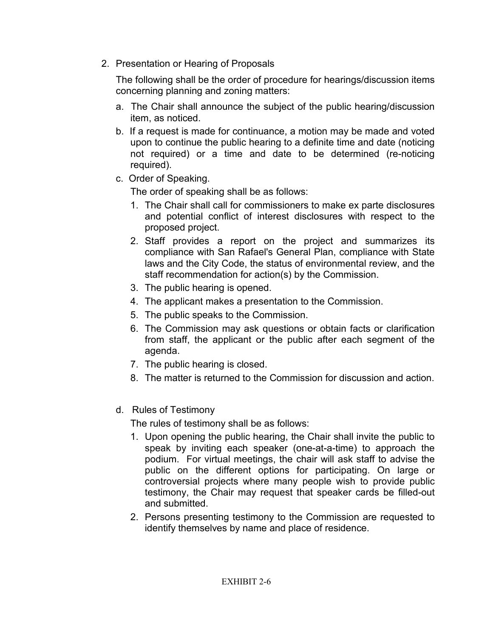2. Presentation or Hearing of Proposals

The following shall be the order of procedure for hearings/discussion items concerning planning and zoning matters:

- a. The Chair shall announce the subject of the public hearing/discussion item, as noticed.
- b. If a request is made for continuance, a motion may be made and voted upon to continue the public hearing to a definite time and date (noticing not required) or a time and date to be determined (re-noticing required).
- c. Order of Speaking.

The order of speaking shall be as follows:

- 1. The Chair shall call for commissioners to make ex parte disclosures and potential conflict of interest disclosures with respect to the proposed project.
- 2. Staff provides a report on the project and summarizes its compliance with San Rafael's General Plan, compliance with State laws and the City Code, the status of environmental review, and the staff recommendation for action(s) by the Commission.
- 3. The public hearing is opened.
- 4. The applicant makes a presentation to the Commission.
- 5. The public speaks to the Commission.
- 6. The Commission may ask questions or obtain facts or clarification from staff, the applicant or the public after each segment of the agenda.
- 7. The public hearing is closed.
- 8. The matter is returned to the Commission for discussion and action.
- d. Rules of Testimony

The rules of testimony shall be as follows:

- 1. Upon opening the public hearing, the Chair shall invite the public to speak by inviting each speaker (one-at-a-time) to approach the podium. For virtual meetings, the chair will ask staff to advise the public on the different options for participating. On large or controversial projects where many people wish to provide public testimony, the Chair may request that speaker cards be filled-out and submitted.
- 2. Persons presenting testimony to the Commission are requested to identify themselves by name and place of residence.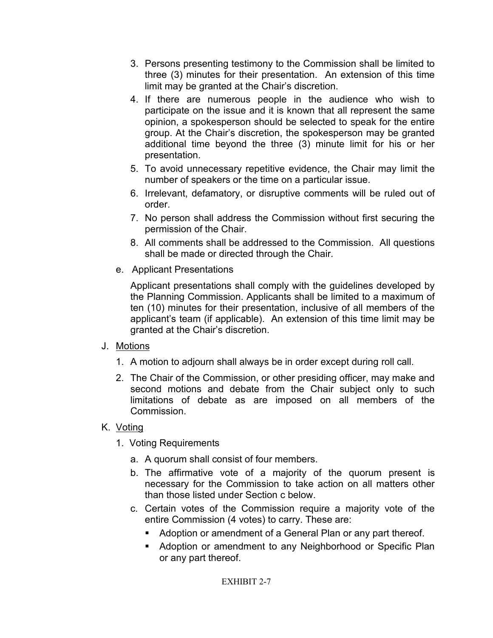- 3. Persons presenting testimony to the Commission shall be limited to three (3) minutes for their presentation. An extension of this time limit may be granted at the Chair's discretion.
- 4. If there are numerous people in the audience who wish to participate on the issue and it is known that all represent the same opinion, a spokesperson should be selected to speak for the entire group. At the Chair's discretion, the spokesperson may be granted additional time beyond the three (3) minute limit for his or her presentation.
- 5. To avoid unnecessary repetitive evidence, the Chair may limit the number of speakers or the time on a particular issue.
- 6. Irrelevant, defamatory, or disruptive comments will be ruled out of order.
- 7. No person shall address the Commission without first securing the permission of the Chair.
- 8. All comments shall be addressed to the Commission. All questions shall be made or directed through the Chair.
- e. Applicant Presentations

Applicant presentations shall comply with the guidelines developed by the Planning Commission. Applicants shall be limited to a maximum of ten (10) minutes for their presentation, inclusive of all members of the applicant's team (if applicable). An extension of this time limit may be granted at the Chair's discretion.

## J. Motions

- 1. A motion to adjourn shall always be in order except during roll call.
- 2. The Chair of the Commission, or other presiding officer, may make and second motions and debate from the Chair subject only to such limitations of debate as are imposed on all members of the Commission.

## K. <u>Voting</u>

- 1. Voting Requirements
	- a. A quorum shall consist of four members.
	- b. The affirmative vote of a majority of the quorum present is necessary for the Commission to take action on all matters other than those listed under Section c below.
	- c. Certain votes of the Commission require a majority vote of the entire Commission (4 votes) to carry. These are:
		- Adoption or amendment of a General Plan or any part thereof.
		- **Adoption or amendment to any Neighborhood or Specific Plan** or any part thereof.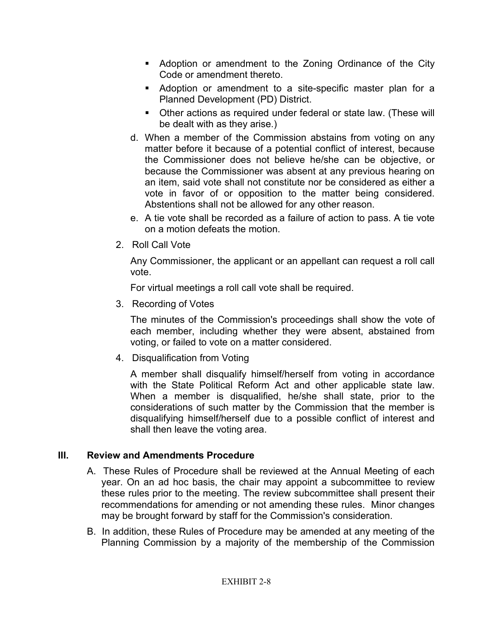- Adoption or amendment to the Zoning Ordinance of the City Code or amendment thereto.
- Adoption or amendment to a site-specific master plan for a Planned Development (PD) District.
- Other actions as required under federal or state law. (These will be dealt with as they arise.)
- d. When a member of the Commission abstains from voting on any matter before it because of a potential conflict of interest, because the Commissioner does not believe he/she can be objective, or because the Commissioner was absent at any previous hearing on an item, said vote shall not constitute nor be considered as either a vote in favor of or opposition to the matter being considered. Abstentions shall not be allowed for any other reason.
- e. A tie vote shall be recorded as a failure of action to pass. A tie vote on a motion defeats the motion.
- 2. Roll Call Vote

Any Commissioner, the applicant or an appellant can request a roll call vote.

For virtual meetings a roll call vote shall be required.

3. Recording of Votes

The minutes of the Commission's proceedings shall show the vote of each member, including whether they were absent, abstained from voting, or failed to vote on a matter considered.

4. Disqualification from Voting

A member shall disqualify himself/herself from voting in accordance with the State Political Reform Act and other applicable state law. When a member is disqualified, he/she shall state, prior to the considerations of such matter by the Commission that the member is disqualifying himself/herself due to a possible conflict of interest and shall then leave the voting area.

## **III. Review and Amendments Procedure**

- A. These Rules of Procedure shall be reviewed at the Annual Meeting of each year. On an ad hoc basis, the chair may appoint a subcommittee to review these rules prior to the meeting. The review subcommittee shall present their recommendations for amending or not amending these rules. Minor changes may be brought forward by staff for the Commission's consideration.
- B. In addition, these Rules of Procedure may be amended at any meeting of the Planning Commission by a majority of the membership of the Commission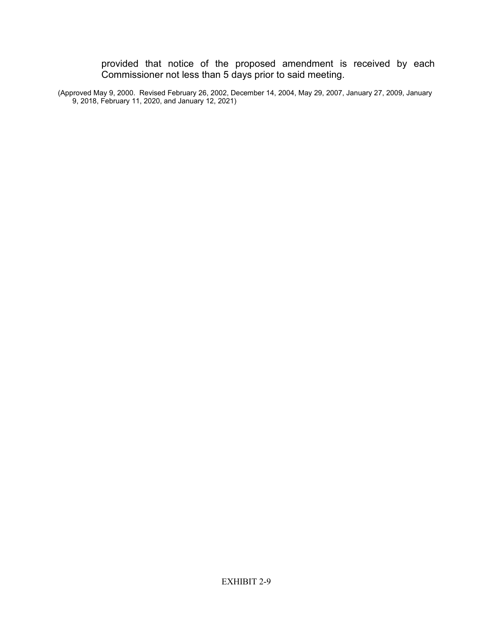provided that notice of the proposed amendment is received by each Commissioner not less than 5 days prior to said meeting.

(Approved May 9, 2000. Revised February 26, 2002, December 14, 2004, May 29, 2007, January 27, 2009, January 9, 2018, February 11, 2020, and January 12, 2021)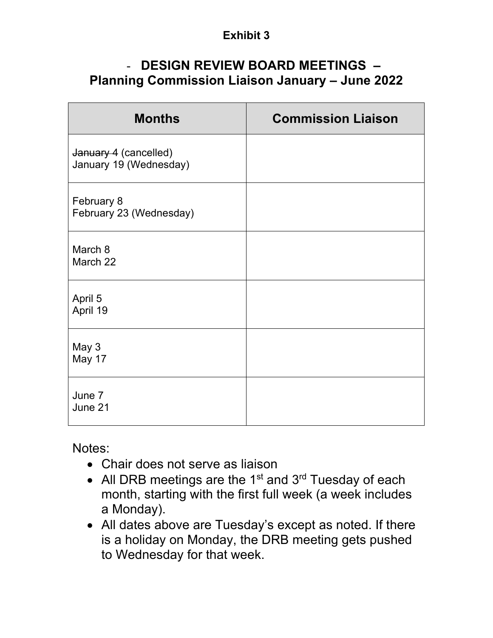## **Exhibit 3**

# - **DESIGN REVIEW BOARD MEETINGS – Planning Commission Liaison January – June 2022**

| <b>Months</b>                                   | <b>Commission Liaison</b> |
|-------------------------------------------------|---------------------------|
| January 4 (cancelled)<br>January 19 (Wednesday) |                           |
| February 8<br>February 23 (Wednesday)           |                           |
| March 8<br>March 22                             |                           |
| April 5<br>April 19                             |                           |
| May 3<br>May 17                                 |                           |
| June 7<br>June 21                               |                           |

Notes:

- Chair does not serve as liaison
- All DRB meetings are the 1<sup>st</sup> and  $3<sup>rd</sup>$  Tuesday of each month, starting with the first full week (a week includes a Monday).
- All dates above are Tuesday's except as noted. If there is a holiday on Monday, the DRB meeting gets pushed to Wednesday for that week.